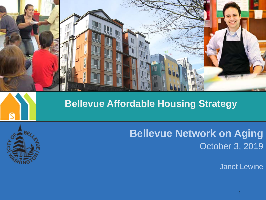

#### **Bellevue Affordable Housing Strategy**



### **Bellevue Network on Aging** October 3, 2019

Janet Lewine

1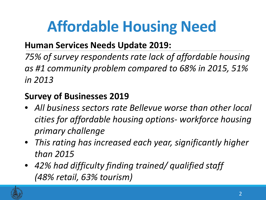# **Affordable Housing Need**

#### **Human Services Needs Update 2019:**

*75% of survey respondents rate lack of affordable housing as #1 community problem compared to 68% in 2015, 51% in 2013*

#### **Survey of Businesses 2019**

- *All business sectors rate Bellevue worse than other local cities for affordable housing options- workforce housing primary challenge*
- *This rating has increased each year, significantly higher than 2015*
- *42% had difficulty finding trained/ qualified staff (48% retail, 63% tourism)*

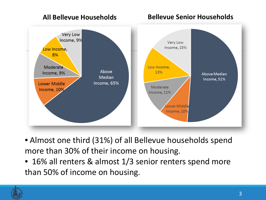#### **All Bellevue Households Bellevue Senior Households**



- Almost one third (31%) of all Bellevue households spend more than 30% of their income on housing.
- 16% all renters & almost 1/3 senior renters spend more than 50% of income on housing.

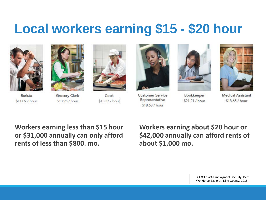### **Local workers earning \$15 - \$20 hour**



Barista

\$11.09 / hour



**Grocery Clerk** \$13.95 / hour



Cook \$13.37 / hour



**Customer Service** Representative \$18.68 / hour



Bookkeeper \$21.21 / hour



**Medical Assistant**  $$18.65/hour$ 

**Workers earning less than \$15 hour or \$31,000 annually can only afford rents of less than \$800. mo.** 

**Workers earning about \$20 hour or \$42,000 annually can afford rents of about \$1,000 mo.**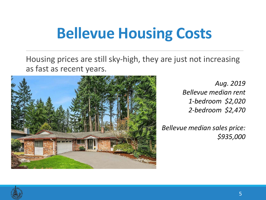# **Bellevue Housing Costs**

Housing prices are still sky-high, they are just not increasing as fast as recent years.



*Aug. 2019 Bellevue median rent 1-bedroom \$2,020 2-bedroom \$2,470* 

*Bellevue median sales price: \$935,000* 

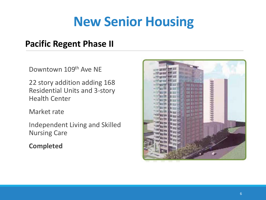## **New Senior Housing**

#### **Pacific Regent Phase II**

Downtown 109th Ave NE

22 story addition adding 168 Residential Units and 3-story Health Center

Market rate

Independent Living and Skilled Nursing Care

**Completed**

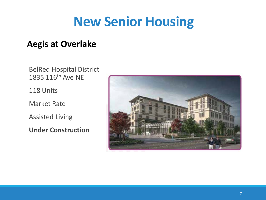### **New Senior Housing**

#### **Aegis at Overlake**

BelRed Hospital District 1835 116th Ave NE

118 Units

Market Rate

Assisted Living

**Under Construction**

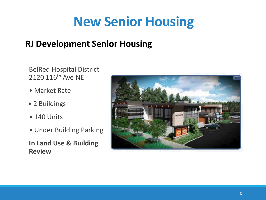### **New Senior Housing**

#### **RJ Development Senior Housing**

BelRed Hospital District 2120 116<sup>th</sup> Ave NE

- Market Rate
- 2 Buildings
- 140 Units
- Under Building Parking

**In Land Use & Building Review**

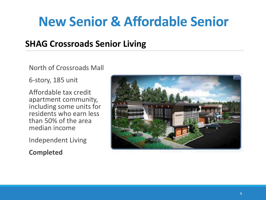## **New Senior & Affordable Senior**

#### **SHAG Crossroads Senior Living**

North of Crossroads Mall

6-story, 185 unit

Affordable tax credit apartment community, including some units for residents who earn less than 50% of the area median income

Independent Living

**Completed**

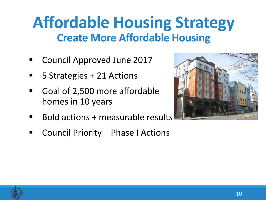## **Affordable Housing Strategy Create More Affordable Housing**

- Council Approved June 2017
- 5 Strategies + 21 Actions
- Goal of 2,500 more affordable homes in 10 years
- Bold actions + measurable results
- Council Priority Phase I Actions